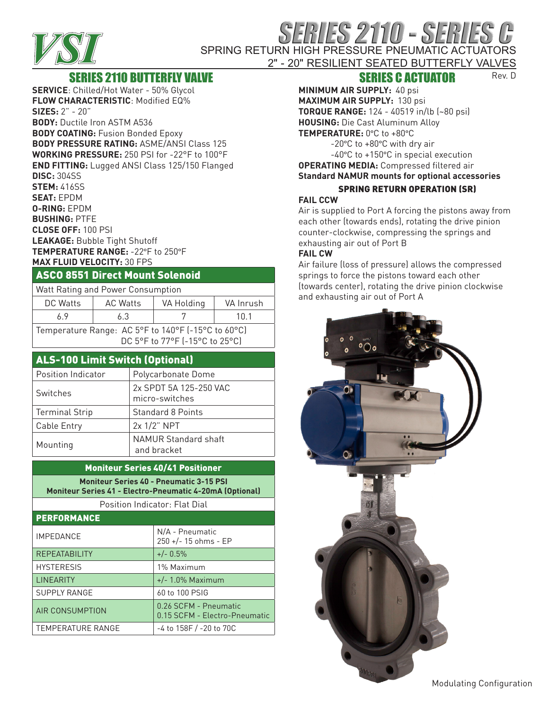

# RIES 2110 - SERIES SPRING RETURN HIGH PRESSURE PNEUMATIC ACTUATORS

#### 2" - 20" RESILIENT SEATED BUTTERFLY VALVES Rev. D

# SERIES 2110 BUTTERFLY VALVE

**SERVICE**: Chilled/Hot Water - 50% Glycol **FLOW CHARACTERISTIC**: Modified EQ% **SIZES:** 2" - 20" **BODY:** Ductile Iron ASTM A536 **BODY COATING:** Fusion Bonded Epoxy **BODY PRESSURE RATING:** ASME/ANSI Class 125 **WORKING PRESSURE:** 250 PSI for -22°F to 100°F **END FITTING:** Lugged ANSI Class 125/150 Flanged **DISC:** 304SS **STEM:** 416SS **SEAT:** EPDM **O-RING:** EPDM **BUSHING:** PTFE **CLOSE OFF:** 100 PSI **LEAKAGE:** Bubble Tight Shutoff **TEMPERATURE RANGE:** -22°F to 250°F **MAX FLUID VELOCITY:** 30 FPS

## ASCO 8551 Direct Mount Solenoid

| Watt Rating and Power Consumption                                                    |                 |            |           |  |  |  |  |  |
|--------------------------------------------------------------------------------------|-----------------|------------|-----------|--|--|--|--|--|
| DC Watts                                                                             | <b>AC Watts</b> | VA Holding | VA Inrush |  |  |  |  |  |
| 69                                                                                   | 6.3             |            | 10 1      |  |  |  |  |  |
| Temperature Range: AC 5°F to 140°F (-15°C to 60°C)<br>DC 5°F to 77°F (-15°C to 25°C) |                 |            |           |  |  |  |  |  |

## ALS-100 Limit Switch (Optional)

| Position Indicator    | Polycarbonate Dome          |
|-----------------------|-----------------------------|
| Switches              | 2x SPDT 5A 125-250 VAC      |
|                       | micro-switches              |
| <b>Terminal Strip</b> | <b>Standard 8 Points</b>    |
| Cable Entry           | 2x 1/2" NPT                 |
| Mounting              | <b>NAMUR Standard shaft</b> |
|                       | and bracket                 |

## Moniteur Series 40/41 Positioner

**Moniteur Series 40 - Pneumatic 3-15 PSI Moniteur Series 41 - Electro-Pneumatic 4-20mA (Optional)**

Position Indicator: Flat Dial

| <b>PERFORMANCE</b>       |                                                        |  |  |  |  |
|--------------------------|--------------------------------------------------------|--|--|--|--|
| <b>IMPEDANCE</b>         | N/A - Pneumatic<br>250 +/- 15 ohms - EP                |  |  |  |  |
| <b>REPEATABILITY</b>     | $+/- 0.5%$                                             |  |  |  |  |
| <b>HYSTERESIS</b>        | 1% Maximum                                             |  |  |  |  |
| <b>LINEARITY</b>         | $+/- 1.0\%$ Maximum                                    |  |  |  |  |
| <b>SUPPLY RANGE</b>      | 60 to 100 PSIG                                         |  |  |  |  |
| AIR CONSUMPTION          | 0.26 SCFM - Pneumatic<br>0.15 SCFM - Electro-Pneumatic |  |  |  |  |
| <b>TEMPERATURE RANGE</b> | $-4$ to 158F $/$ -20 to 70C                            |  |  |  |  |

## SERIES C ACTUATOR

**MINIMUM AIR SUPPLY:** 40 psi **MAXIMUM AIR SUPPLY:** 130 psi **TORQUE RANGE:** 124 - 40519 in/lb (~80 psi) **HOUSING:** Die Cast Aluminum Alloy **TEMPERATURE:** 0°C to +80°C

-20°C to +80°C with dry air -40°C to +150°C in special execution

**OPERATING MEDIA:** Compressed filtered air **Standard NAMUR mounts for optional accessories**

## SPRING RETURN OPERATION (SR)

### **FAIL CCW**

Air is supplied to Port A forcing the pistons away from each other (towards ends), rotating the drive pinion counter-clockwise, compressing the springs and exhausting air out of Port B

## **FAIL CW**

Air failure (loss of pressure) allows the compressed springs to force the pistons toward each other (towards center), rotating the drive pinion clockwise and exhausting air out of Port A



Modulating Configuration